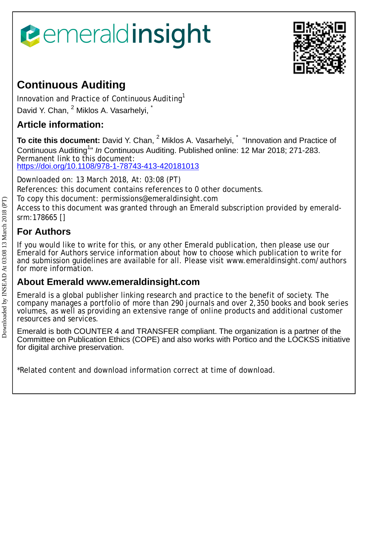# emeraldinsight



# **Continuous Auditing**

Innovation and Practice of Continuous Auditing<sup>1</sup> David Y. Chan, <sup>2</sup> Miklos A. Vasarhelyi, <sup>\*</sup>

# **Article information:**

**To cite this document:** David Y. Chan, <sup>2</sup> Miklos A. Vasarhelyi,  $\check{ }$  "Innovation and Practice of Continuous Auditing<sup>1</sup>" *In* Continuous Auditing. Published online: 12 Mar 2018; 271-283. Permanent link to this document: <https://doi.org/10.1108/978-1-78743-413-420181013>

Downloaded on: 13 March 2018, At: 03:08 (PT)

References: this document contains references to 0 other documents.

To copy this document: permissions@emeraldinsight.com

Access to this document was granted through an Emerald subscription provided by emeraldsrm:178665 []

# **For Authors**

If you would like to write for this, or any other Emerald publication, then please use our Emerald for Authors service information about how to choose which publication to write for and submission guidelines are available for all. Please visit www.emeraldinsight.com/authors for more information.

## **About Emerald www.emeraldinsight.com**

Emerald is a global publisher linking research and practice to the benefit of society. The company manages a portfolio of more than 290 journals and over 2,350 books and book series volumes, as well as providing an extensive range of online products and additional customer resources and services.

Emerald is both COUNTER 4 and TRANSFER compliant. The organization is a partner of the Committee on Publication Ethics (COPE) and also works with Portico and the LOCKSS initiative for digital archive preservation.

\*Related content and download information correct at time of download.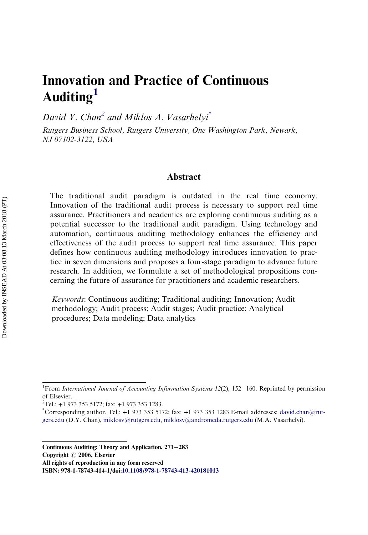# Innovation and Practice of Continuous Auditing<sup>1</sup>

David Y. Chan<sup>2</sup> and Miklos A. Vasarhelyi<sup>\*</sup>

Rutgers Business School, Rutgers University, One Washington Park, Newark, NJ 07102-3122, USA

### Abstract

The traditional audit paradigm is outdated in the real time economy. Innovation of the traditional audit process is necessary to support real time assurance. Practitioners and academics are exploring continuous auditing as a potential successor to the traditional audit paradigm. Using technology and automation, continuous auditing methodology enhances the efficiency and effectiveness of the audit process to support real time assurance. This paper defines how continuous auditing methodology introduces innovation to practice in seven dimensions and proposes a four-stage paradigm to advance future research. In addition, we formulate a set of methodological propositions concerning the future of assurance for practitioners and academic researchers.

Keywords: Continuous auditing; Traditional auditing; Innovation; Audit methodology; Audit process; Audit stages; Audit practice; Analytical procedures; Data modeling; Data analytics

Continuous Auditing: Theory and Application, 271-283

Copyright  $\odot$  2006, Elsevier

<sup>&</sup>lt;sup>1</sup> From *International Journal of Accounting Information Systems 12(2)*, 152–160. Reprinted by permission of Elsevier.

 ${}^{2}$ Tel.: +1 973 353 5172; fax: +1 973 353 1283.<br>\*Corresponding author: Tel : +1 973 353 512

 $^*$ Corresponding author. Tel.: +1 973 353 5172; fax: +1 973 353 1283.E-mail addresses: [david.chan@rut](http://david.chan@rutgers.edu)[gers.edu](http://david.chan@rutgers.edu) (D.Y. Chan), [miklosv@rutgers.edu](http://miklosv@rutgers.edu), [miklosv@andromeda.rutgers.edu](http://miklosv@andromeda.rutgers.edu) (M.A. Vasarhelyi).

All rights of reproduction in any form reserved

ISBN: 978-1-78743-414-1/doi[:10.1108/978-1-78743-413-420181013](http://dx.doi.org/10.1108/978-1-78743-413-420181013)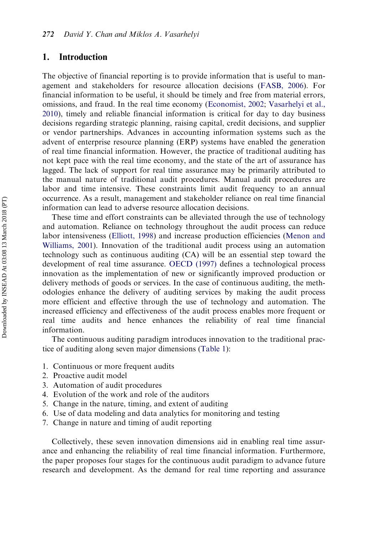#### 1. Introduction

The objective of financial reporting is to provide information that is useful to management and stakeholders for resource allocation decisions [\(FASB, 2006](#page-12-0)). For financial information to be useful, it should be timely and free from material errors, omissions, and fraud. In the real time economy [\(Economist, 2002;](#page-12-0) [Vasarhelyi et al.,](#page-13-0) [2010\)](#page-13-0), timely and reliable financial information is critical for day to day business decisions regarding strategic planning, raising capital, credit decisions, and supplier or vendor partnerships. Advances in accounting information systems such as the advent of enterprise resource planning (ERP) systems have enabled the generation of real time financial information. However, the practice of traditional auditing has not kept pace with the real time economy, and the state of the art of assurance has lagged. The lack of support for real time assurance may be primarily attributed to the manual nature of traditional audit procedures. Manual audit procedures are labor and time intensive. These constraints limit audit frequency to an annual occurrence. As a result, management and stakeholder reliance on real time financial information can lead to adverse resource allocation decisions.

These time and effort constraints can be alleviated through the use of technology and automation. Reliance on technology throughout the audit process can reduce labor intensiveness ([Elliott, 1998](#page-12-0)) and increase production efficiencies [\(Menon and](#page-12-0) [Williams, 2001\)](#page-12-0). Innovation of the traditional audit process using an automation technology such as continuous auditing (CA) will be an essential step toward the development of real time assurance. [OECD \(1997\)](#page-12-0) defines a technological process innovation as the implementation of new or significantly improved production or delivery methods of goods or services. In the case of continuous auditing, the methodologies enhance the delivery of auditing services by making the audit process more efficient and effective through the use of technology and automation. The increased efficiency and effectiveness of the audit process enables more frequent or real time audits and hence enhances the reliability of real time financial information.

The continuous auditing paradigm introduces innovation to the traditional practice of auditing along seven major dimensions [\(Table 1](#page-3-0)):

- 1. Continuous or more frequent audits
- 2. Proactive audit model
- 3. Automation of audit procedures
- 4. Evolution of the work and role of the auditors
- 5. Change in the nature, timing, and extent of auditing
- 6. Use of data modeling and data analytics for monitoring and testing
- 7. Change in nature and timing of audit reporting

Collectively, these seven innovation dimensions aid in enabling real time assurance and enhancing the reliability of real time financial information. Furthermore, the paper proposes four stages for the continuous audit paradigm to advance future research and development. As the demand for real time reporting and assurance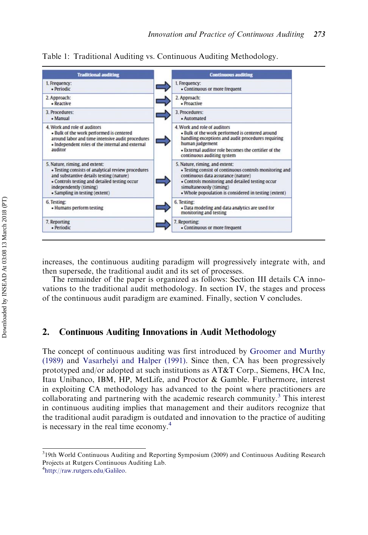<span id="page-3-0"></span>



increases, the continuous auditing paradigm will progressively integrate with, and then supersede, the traditional audit and its set of processes.

The remainder of the paper is organized as follows: Section III details CA innovations to the traditional audit methodology. In section IV, the stages and process of the continuous audit paradigm are examined. Finally, section V concludes.

## 2. Continuous Auditing Innovations in Audit Methodology

The concept of continuous auditing was first introduced by [Groomer and Murthy](#page-12-0) [\(1989\)](#page-12-0) and [Vasarhelyi and Halper \(1991\)](#page-13-0). Since then, CA has been progressively prototyped and/or adopted at such institutions as AT&T Corp., Siemens, HCA Inc, Itau Unibanco, IBM, HP, MetLife, and Proctor & Gamble. Furthermore, interest in exploiting CA methodology has advanced to the point where practitioners are collaborating and partnering with the academic research community.<sup>3</sup> This interest in continuous auditing implies that management and their auditors recognize that the traditional audit paradigm is outdated and innovation to the practice of auditing is necessary in the real time economy.<sup>4</sup>

<sup>3</sup> 19th World Continuous Auditing and Reporting Symposium (2009) and Continuous Auditing Research Projects at Rutgers Continuous Auditing Lab.

<sup>4</sup> [http://raw.rutgers.edu/Galileo.](http://david.chan@rutgers.edu)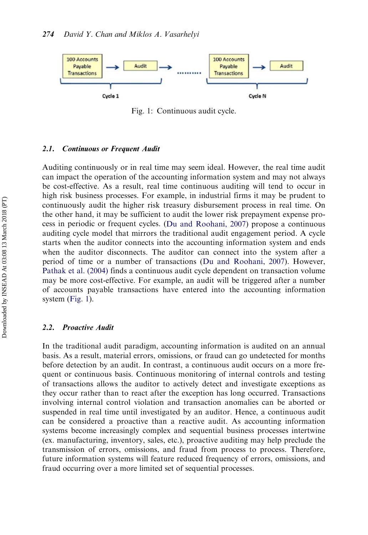

Fig. 1: Continuous audit cycle.

#### 2.1. Continuous or Frequent Audit

Auditing continuously or in real time may seem ideal. However, the real time audit can impact the operation of the accounting information system and may not always be cost-effective. As a result, real time continuous auditing will tend to occur in high risk business processes. For example, in industrial firms it may be prudent to continuously audit the higher risk treasury disbursement process in real time. On the other hand, it may be sufficient to audit the lower risk prepayment expense process in periodic or frequent cycles. ([Du and Roohani, 2007\)](#page-12-0) propose a continuous auditing cycle model that mirrors the traditional audit engagement period. A cycle starts when the auditor connects into the accounting information system and ends when the auditor disconnects. The auditor can connect into the system after a period of time or a number of transactions ([Du and Roohani, 2007\)](#page-12-0). However, [Pathak et al. \(2004\)](#page-12-0) finds a continuous audit cycle dependent on transaction volume may be more cost-effective. For example, an audit will be triggered after a number of accounts payable transactions have entered into the accounting information system (Fig. 1).

#### 2.2. Proactive Audit

In the traditional audit paradigm, accounting information is audited on an annual basis. As a result, material errors, omissions, or fraud can go undetected for months before detection by an audit. In contrast, a continuous audit occurs on a more frequent or continuous basis. Continuous monitoring of internal controls and testing of transactions allows the auditor to actively detect and investigate exceptions as they occur rather than to react after the exception has long occurred. Transactions involving internal control violation and transaction anomalies can be aborted or suspended in real time until investigated by an auditor. Hence, a continuous audit can be considered a proactive than a reactive audit. As accounting information systems become increasingly complex and sequential business processes intertwine (ex. manufacturing, inventory, sales, etc.), proactive auditing may help preclude the transmission of errors, omissions, and fraud from process to process. Therefore, future information systems will feature reduced frequency of errors, omissions, and fraud occurring over a more limited set of sequential processes.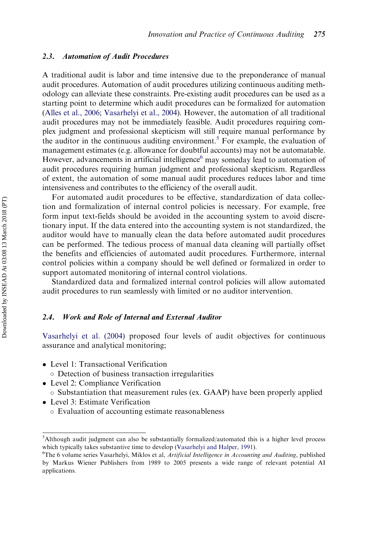#### 2.3. Automation of Audit Procedures

A traditional audit is labor and time intensive due to the preponderance of manual audit procedures. Automation of audit procedures utilizing continuous auditing methodology can alleviate these constraints. Pre-existing audit procedures can be used as a starting point to determine which audit procedures can be formalized for automation [\(Alles et al., 2006;](#page-11-0) [Vasarhelyi et al., 2004](#page-13-0)). However, the automation of all traditional audit procedures may not be immediately feasible. Audit procedures requiring complex judgment and professional skepticism will still require manual performance by the auditor in the continuous auditing environment.<sup>5</sup> For example, the evaluation of management estimates (e.g. allowance for doubtful accounts) may not be automatable. However, advancements in artificial intelligence<sup>6</sup> may someday lead to automation of audit procedures requiring human judgment and professional skepticism. Regardless of extent, the automation of some manual audit procedures reduces labor and time intensiveness and contributes to the efficiency of the overall audit.

For automated audit procedures to be effective, standardization of data collection and formalization of internal control policies is necessary. For example, free form input text-fields should be avoided in the accounting system to avoid discretionary input. If the data entered into the accounting system is not standardized, the auditor would have to manually clean the data before automated audit procedures can be performed. The tedious process of manual data cleaning will partially offset the benefits and efficiencies of automated audit procedures. Furthermore, internal control policies within a company should be well defined or formalized in order to support automated monitoring of internal control violations.

Standardized data and formalized internal control policies will allow automated audit procedures to run seamlessly with limited or no auditor intervention.

#### 2.4. Work and Role of Internal and External Auditor

[Vasarhelyi et al. \(2004\)](#page-13-0) proposed four levels of audit objectives for continuous assurance and analytical monitoring;

- Level 1: Transactional Verification
	- Detection of business transaction irregularities
- Level 2: Compliance Verification
	- Substantiation that measurement rules (ex. GAAP) have been properly applied
- Level 3: Estimate Verification
	- Evaluation of accounting estimate reasonableness

<sup>5</sup> Although audit judgment can also be substantially formalized/automated this is a higher level process which typically takes substantive time to develop ([Vasarhelyi and Halper, 1991\)](#page-13-0).

<sup>&</sup>lt;sup>6</sup>The 6 volume series Vasarhelyi, Miklos et al, Artificial Intelligence in Accounting and Auditing, published by Markus Wiener Publishers from 1989 to 2005 presents a wide range of relevant potential AI applications.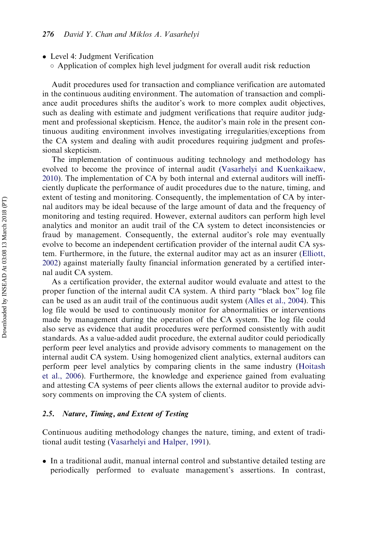• Level 4: Judgment Verification

○ Application of complex high level judgment for overall audit risk reduction

Audit procedures used for transaction and compliance verification are automated in the continuous auditing environment. The automation of transaction and compliance audit procedures shifts the auditor's work to more complex audit objectives, such as dealing with estimate and judgment verifications that require auditor judgment and professional skepticism. Hence, the auditor's main role in the present continuous auditing environment involves investigating irregularities/exceptions from the CA system and dealing with audit procedures requiring judgment and professional skepticism.

The implementation of continuous auditing technology and methodology has evolved to become the province of internal audit ([Vasarhelyi and Kuenkaikaew,](#page-13-0) [2010\)](#page-13-0). The implementation of CA by both internal and external auditors will inefficiently duplicate the performance of audit procedures due to the nature, timing, and extent of testing and monitoring. Consequently, the implementation of CA by internal auditors may be ideal because of the large amount of data and the frequency of monitoring and testing required. However, external auditors can perform high level analytics and monitor an audit trail of the CA system to detect inconsistencies or fraud by management. Consequently, the external auditor's role may eventually evolve to become an independent certification provider of the internal audit CA system. Furthermore, in the future, the external auditor may act as an insurer [\(Elliott,](#page-12-0) [2002\)](#page-12-0) against materially faulty financial information generated by a certified internal audit CA system.

As a certification provider, the external auditor would evaluate and attest to the proper function of the internal audit CA system. A third party "black box" log file can be used as an audit trail of the continuous audit system [\(Alles et al., 2004](#page-11-0)). This log file would be used to continuously monitor for abnormalities or interventions made by management during the operation of the CA system. The log file could also serve as evidence that audit procedures were performed consistently with audit standards. As a value-added audit procedure, the external auditor could periodically perform peer level analytics and provide advisory comments to management on the internal audit CA system. Using homogenized client analytics, external auditors can perform peer level analytics by comparing clients in the same industry ([Hoitash](#page-12-0) [et al., 2006](#page-12-0)). Furthermore, the knowledge and experience gained from evaluating and attesting CA systems of peer clients allows the external auditor to provide advisory comments on improving the CA system of clients.

#### 2.5. Nature, Timing, and Extent of Testing

Continuous auditing methodology changes the nature, timing, and extent of traditional audit testing [\(Vasarhelyi and Halper, 1991](#page-13-0)).

• In a traditional audit, manual internal control and substantive detailed testing are periodically performed to evaluate management's assertions. In contrast,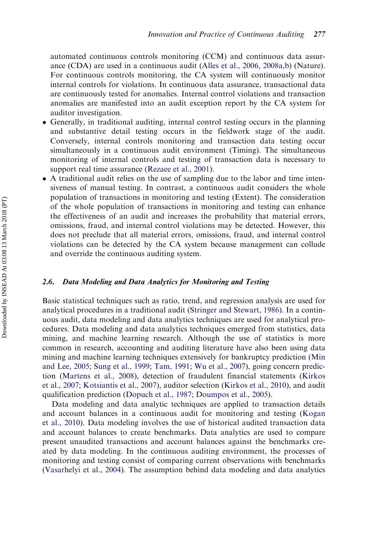automated continuous controls monitoring (CCM) and continuous data assurance (CDA) are used in a continuous audit (Alles et al., 2006, 2008a,b) (Nature). For continuous controls monitoring, the CA system will continuously monitor internal controls for violations. In continuous data assurance, transactional data are continuously tested for anomalies. Internal control violations and transaction anomalies are manifested into an audit exception report by the CA system for auditor investigation.

- Generally, in traditional auditing, internal control testing occurs in the planning and substantive detail testing occurs in the fieldwork stage of the audit. Conversely, internal controls monitoring and transaction data testing occur simultaneously in a continuous audit environment (Timing). The simultaneous monitoring of internal controls and testing of transaction data is necessary to support real time assurance [\(Rezaee et al., 2001\)](#page-12-0).
- A traditional audit relies on the use of sampling due to the labor and time intensiveness of manual testing. In contrast, a continuous audit considers the whole population of transactions in monitoring and testing (Extent). The consideration of the whole population of transactions in monitoring and testing can enhance the effectiveness of an audit and increases the probability that material errors, omissions, fraud, and internal control violations may be detected. However, this does not preclude that all material errors, omissions, fraud, and internal control violations can be detected by the CA system because management can collude and override the continuous auditing system.

#### 2.6. Data Modeling and Data Analytics for Monitoring and Testing

Basic statistical techniques such as ratio, trend, and regression analysis are used for analytical procedures in a traditional audit ([Stringer and Stewart, 1986](#page-12-0)). In a continuous audit, data modeling and data analytics techniques are used for analytical procedures. Data modeling and data analytics techniques emerged from statistics, data mining, and machine learning research. Although the use of statistics is more common in research, accounting and auditing literature have also been using data mining and machine learning techniques extensively for bankruptcy prediction ([Min](#page-12-0) [and Lee, 2005;](#page-12-0) [Sung et al., 1999](#page-12-0); [Tam, 1991;](#page-13-0) [Wu et al., 2007](#page-13-0)), going concern prediction [\(Martens et al., 2008\)](#page-12-0), detection of fraudulent financial statements [\(Kirkos](#page-12-0) [et al., 2007](#page-12-0); [Kotsiantis et al., 2007](#page-12-0)), auditor selection [\(Kirkos et al., 2010](#page-12-0)), and audit qualification prediction ([Dopuch et al., 1987;](#page-12-0) [Doumpos et al., 2005\)](#page-12-0).

Data modeling and data analytic techniques are applied to transaction details and account balances in a continuous audit for monitoring and testing ([Kogan](#page-12-0) [et al., 2010\)](#page-12-0). Data modeling involves the use of historical audited transaction data and account balances to create benchmarks. Data analytics are used to compare present unaudited transactions and account balances against the benchmarks created by data modeling. In the continuous auditing environment, the processes of monitoring and testing consist of comparing current observations with benchmarks [\(Vasarhelyi et al., 2004\)](#page-13-0). The assumption behind data modeling and data analytics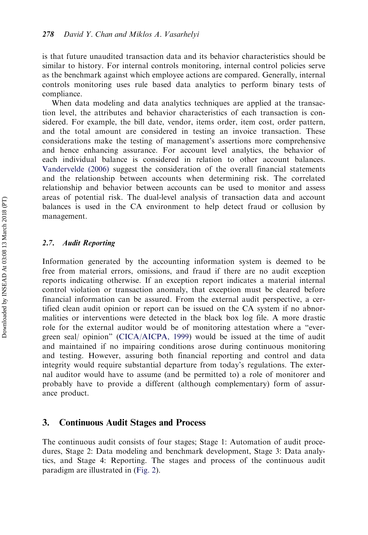is that future unaudited transaction data and its behavior characteristics should be similar to history. For internal controls monitoring, internal control policies serve as the benchmark against which employee actions are compared. Generally, internal controls monitoring uses rule based data analytics to perform binary tests of compliance.

When data modeling and data analytics techniques are applied at the transaction level, the attributes and behavior characteristics of each transaction is considered. For example, the bill date, vendor, items order, item cost, order pattern, and the total amount are considered in testing an invoice transaction. These considerations make the testing of management's assertions more comprehensive and hence enhancing assurance. For account level analytics, the behavior of each individual balance is considered in relation to other account balances. [Vandervelde \(2006\)](#page-13-0) suggest the consideration of the overall financial statements and the relationship between accounts when determining risk. The correlated relationship and behavior between accounts can be used to monitor and assess areas of potential risk. The dual-level analysis of transaction data and account balances is used in the CA environment to help detect fraud or collusion by management.

#### 2.7. Audit Reporting

Information generated by the accounting information system is deemed to be free from material errors, omissions, and fraud if there are no audit exception reports indicating otherwise. If an exception report indicates a material internal control violation or transaction anomaly, that exception must be cleared before financial information can be assured. From the external audit perspective, a certified clean audit opinion or report can be issued on the CA system if no abnormalities or interventions were detected in the black box log file. A more drastic role for the external auditor would be of monitoring attestation where a "evergreen seal/ opinion" [\(CICA/AICPA, 1999](#page-12-0)) would be issued at the time of audit and maintained if no impairing conditions arose during continuous monitoring and testing. However, assuring both financial reporting and control and data integrity would require substantial departure from today's regulations. The external auditor would have to assume (and be permitted to) a role of monitorer and probably have to provide a different (although complementary) form of assurance product.

#### 3. Continuous Audit Stages and Process

The continuous audit consists of four stages; Stage 1: Automation of audit procedures, Stage 2: Data modeling and benchmark development, Stage 3: Data analytics, and Stage 4: Reporting. The stages and process of the continuous audit paradigm are illustrated in [\(Fig. 2](#page-9-0)).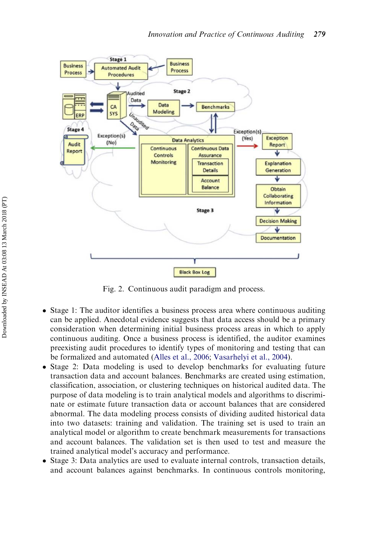<span id="page-9-0"></span>

Fig. 2. Continuous audit paradigm and process.

- Stage 1: The auditor identifies a business process area where continuous auditing can be applied. Anecdotal evidence suggests that data access should be a primary consideration when determining initial business process areas in which to apply continuous auditing. Once a business process is identified, the auditor examines preexisting audit procedures to identify types of monitoring and testing that can be formalized and automated ([Alles et al., 2006](#page-11-0); [Vasarhelyi et al., 2004\)](#page-13-0).
- Stage 2: Data modeling is used to develop benchmarks for evaluating future transaction data and account balances. Benchmarks are created using estimation, classification, association, or clustering techniques on historical audited data. The purpose of data modeling is to train analytical models and algorithms to discriminate or estimate future transaction data or account balances that are considered abnormal. The data modeling process consists of dividing audited historical data into two datasets: training and validation. The training set is used to train an analytical model or algorithm to create benchmark measurements for transactions and account balances. The validation set is then used to test and measure the trained analytical model's accuracy and performance.
- Stage 3: Data analytics are used to evaluate internal controls, transaction details, and account balances against benchmarks. In continuous controls monitoring,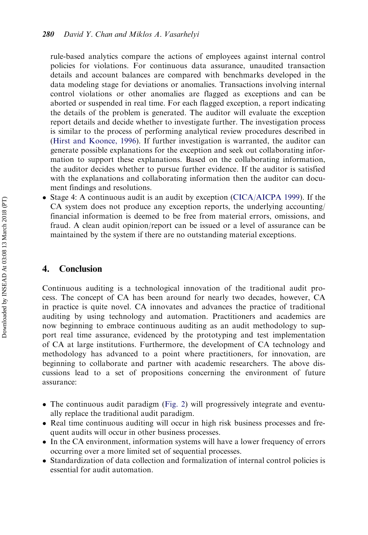rule-based analytics compare the actions of employees against internal control policies for violations. For continuous data assurance, unaudited transaction details and account balances are compared with benchmarks developed in the data modeling stage for deviations or anomalies. Transactions involving internal control violations or other anomalies are flagged as exceptions and can be aborted or suspended in real time. For each flagged exception, a report indicating the details of the problem is generated. The auditor will evaluate the exception report details and decide whether to investigate further. The investigation process is similar to the process of performing analytical review procedures described in [\(Hirst and Koonce, 1996](#page-12-0)). If further investigation is warranted, the auditor can generate possible explanations for the exception and seek out collaborating information to support these explanations. Based on the collaborating information, the auditor decides whether to pursue further evidence. If the auditor is satisfied with the explanations and collaborating information then the auditor can document findings and resolutions.

• Stage 4: A continuous audit is an audit by exception ([CICA/AICPA 1999](#page-12-0)). If the CA system does not produce any exception reports, the underlying accounting/ financial information is deemed to be free from material errors, omissions, and fraud. A clean audit opinion/report can be issued or a level of assurance can be maintained by the system if there are no outstanding material exceptions.

## 4. Conclusion

Continuous auditing is a technological innovation of the traditional audit process. The concept of CA has been around for nearly two decades, however, CA in practice is quite novel. CA innovates and advances the practice of traditional auditing by using technology and automation. Practitioners and academics are now beginning to embrace continuous auditing as an audit methodology to support real time assurance, evidenced by the prototyping and test implementation of CA at large institutions. Furthermore, the development of CA technology and methodology has advanced to a point where practitioners, for innovation, are beginning to collaborate and partner with academic researchers. The above discussions lead to a set of propositions concerning the environment of future assurance:

- The continuous audit paradigm ([Fig. 2](#page-9-0)) will progressively integrate and eventually replace the traditional audit paradigm.
- Real time continuous auditing will occur in high risk business processes and frequent audits will occur in other business processes.
- In the CA environment, information systems will have a lower frequency of errors occurring over a more limited set of sequential processes.
- Standardization of data collection and formalization of internal control policies is essential for audit automation.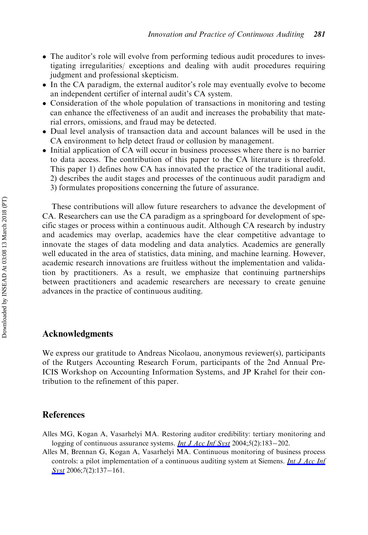- <span id="page-11-0"></span>• The auditor's role will evolve from performing tedious audit procedures to investigating irregularities/ exceptions and dealing with audit procedures requiring judgment and professional skepticism.
- In the CA paradigm, the external auditor's role may eventually evolve to become an independent certifier of internal audit's CA system.
- Consideration of the whole population of transactions in monitoring and testing can enhance the effectiveness of an audit and increases the probability that material errors, omissions, and fraud may be detected.
- Dual level analysis of transaction data and account balances will be used in the CA environment to help detect fraud or collusion by management.
- Initial application of CA will occur in business processes where there is no barrier to data access. The contribution of this paper to the CA literature is threefold. This paper 1) defines how CA has innovated the practice of the traditional audit, 2) describes the audit stages and processes of the continuous audit paradigm and 3) formulates propositions concerning the future of assurance.

These contributions will allow future researchers to advance the development of CA. Researchers can use the CA paradigm as a springboard for development of specific stages or process within a continuous audit. Although CA research by industry and academics may overlap, academics have the clear competitive advantage to innovate the stages of data modeling and data analytics. Academics are generally well educated in the area of statistics, data mining, and machine learning. However, academic research innovations are fruitless without the implementation and validation by practitioners. As a result, we emphasize that continuing partnerships between practitioners and academic researchers are necessary to create genuine advances in the practice of continuous auditing.

## Acknowledgments

We express our gratitude to Andreas Nicolaou, anonymous reviewer(s), participants of the Rutgers Accounting Research Forum, participants of the 2nd Annual Pre-ICIS Workshop on Accounting Information Systems, and JP Krahel for their contribution to the refinement of this paper.

## References

- Alles MG, Kogan A, Vasarhelyi MA. Restoring auditor credibility: tertiary monitoring and logging of continuous assurance systems. *[Int J Acc Inf Syst](https://www.emeraldinsight.com/action/showLinks?doi=10.1108%2F978-1-78743-413-420181013&crossref=10.1016%2Fj.accinf.2004.01.010&citationId=p_1)* 2004;5(2):183-202.
- Alles M, Brennan G, Kogan A, Vasarhelyi MA. Continuous monitoring of business process controls: a pilot implementation of a continuous auditing system at Siemens. [Int J Acc Inf](https://www.emeraldinsight.com/action/showLinks?doi=10.1108%2F978-1-78743-413-420181013&crossref=10.1016%2Fj.accinf.2005.10.004&citationId=p_2)  $Syst 2006;7(2):137-161.$  $Syst 2006;7(2):137-161.$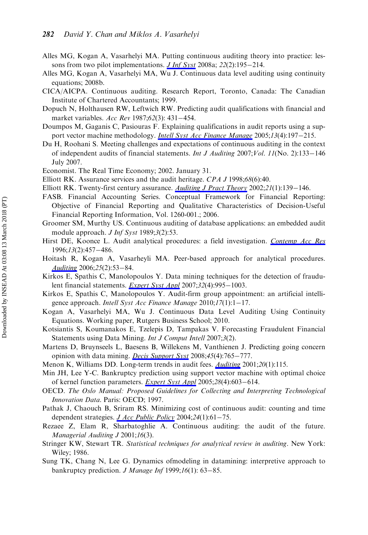- <span id="page-12-0"></span>Alles MG, Kogan A, Vasarhelyi MA. Putting continuous auditing theory into practice: lessons from two pilot implementations. *[J Inf Syst](https://www.emeraldinsight.com/action/showLinks?doi=10.1108%2F978-1-78743-413-420181013&crossref=10.2308%2Fjis.2008.22.2.195&citationId=p_3)* 2008a;  $22(2)$ :195-214.
- Alles MG, Kogan A, Vasarhelyi MA, Wu J. Continuous data level auditing using continuity equations; 2008b.
- CICA/AICPA. Continuous auditing. Research Report, Toronto, Canada: The Canadian Institute of Chartered Accountants; 1999.
- Dopuch N, Holthausen RW, Leftwich RW. Predicting audit qualifications with financial and market variables. Acc Rev 1987;62(3): 431-454.
- Doumpos M, Gaganis C, Pasiouras F. Explaining qualifications in audit reports using a support vector machine methodology. *[Intell Syst Acc Finance Manage](https://www.emeraldinsight.com/action/showLinks?doi=10.1108%2F978-1-78743-413-420181013&crossref=10.1002%2Fisaf.268&citationId=p_7)* 2005;13(4):197-215.
- Du H, Roohani S. Meeting challenges and expectations of continuous auditing in the context of independent audits of financial statements. Int J Auditing 2007; Vol. 11(No. 2):133-146 July 2007.
- Economist. The Real Time Economy; 2002. January 31.
- Elliott RK. Assurance services and the audit heritage. CPA J 1998;68(6):40.
- Elliott RK. Twenty-first century assurance. [Auditing J Pract Theory](https://www.emeraldinsight.com/action/showLinks?doi=10.1108%2F978-1-78743-413-420181013&crossref=10.2308%2Faud.2002.21.1.139&citationId=p_11) 2002;21(1):139-146.
- FASB. Financial Accounting Series. Conceptual Framework for Financial Reporting: Objective of Financial Reporting and Qualitative Characteristics of Decision-Useful Financial Reporting Information, Vol. 1260-001.; 2006.
- Groomer SM, Murthy US. Continuous auditing of database applications: an embedded audit module approach. *J Inf Syst* 1989;3(2):53.
- Hirst DE, Koonce L. Audit analytical procedures: a field investigation. [Contemp Acc Res](https://www.emeraldinsight.com/action/showLinks?doi=10.1108%2F978-1-78743-413-420181013&crossref=10.1111%2Fj.1911-3846.1996.tb00511.x&citationId=p_14) 1996;13(2):457-486.
- Hoitash R, Kogan A, Vasarheyli MA. Peer-based approach for analytical procedures. [Auditing](https://www.emeraldinsight.com/action/showLinks?doi=10.1108%2F978-1-78743-413-420181013&crossref=10.2308%2Faud.2006.25.2.53&citationId=p_15) 2006;25(2):53-84.
- Kirkos E, Spathis C, Manolopoulos Y. Data mining techniques for the detection of fraudu-lent financial statements. [Expert Syst Appl](https://www.emeraldinsight.com/action/showLinks?doi=10.1108%2F978-1-78743-413-420181013&crossref=10.1016%2Fj.eswa.2006.02.016&citationId=p_16)  $2007;32(4):995-1003$ .
- Kirkos E, Spathis C, Manolopoulos Y. Audit-firm group appointment: an artificial intelligence approach. *Intell Syst Acc Finance Manage*  $2010;17(1):1-17$ .
- Kogan A, Vasarhelyi MA, Wu J. Continuous Data Level Auditing Using Continuity Equations. Working paper, Rutgers Business School; 2010.
- Kotsiantis S, Koumanakos E, Tzelepis D, Tampakas V. Forecasting Fraudulent Financial Statements using Data Mining. Int J Comput Intell 2007;3(2).
- Martens D, Bruynseels L, Baesens B, Willekens M, Vanthienen J. Predicting going concern opinion with data mining. *[Decis Support Syst](https://www.emeraldinsight.com/action/showLinks?doi=10.1108%2F978-1-78743-413-420181013&crossref=10.1016%2Fj.dss.2008.01.003&citationId=p_20)* 2008;45(4):765–777.
- Menon K, Williams DD. Long-term trends in audit fees. *[Auditing](https://www.emeraldinsight.com/action/showLinks?doi=10.1108%2F978-1-78743-413-420181013&crossref=10.2308%2Faud.2001.20.1.115&citationId=p_21)* 2001;20(1):115.
- Min JH, Lee Y-C. Bankruptcy prediction using support vector machine with optimal choice of kernel function parameters. *[Expert Syst Appl](https://www.emeraldinsight.com/action/showLinks?doi=10.1108%2F978-1-78743-413-420181013&crossref=10.1016%2Fj.eswa.2004.12.008&citationId=p_22)* 2005;28(4):603–614.
- OECD. The Oslo Manual: Proposed Guidelines for Collecting and Interpreting Technological Innovation Data. Paris: OECD; 1997.
- Pathak J, Chaouch B, Sriram RS. Minimizing cost of continuous audit: counting and time dependent strategies. *[J Acc Public Policy](https://www.emeraldinsight.com/action/showLinks?doi=10.1108%2F978-1-78743-413-420181013&crossref=10.1016%2Fj.jaccpubpol.2004.12.004&citationId=p_24)* 2004;24(1):61-75.
- Rezaee Z, Elam R, Sharbatoghlie A. Continuous auditing: the audit of the future. Managerial Auditing J 2001;16(3).
- Stringer KW, Stewart TR. Statistical techniques for analytical review in auditing. New York: Wiley; 1986.
- Sung TK, Chang N, Lee G. Dynamics ofmodeling in datamining: interpretive approach to bankruptcy prediction. *J Manage Inf* 1999;16(1):  $63-85$ .